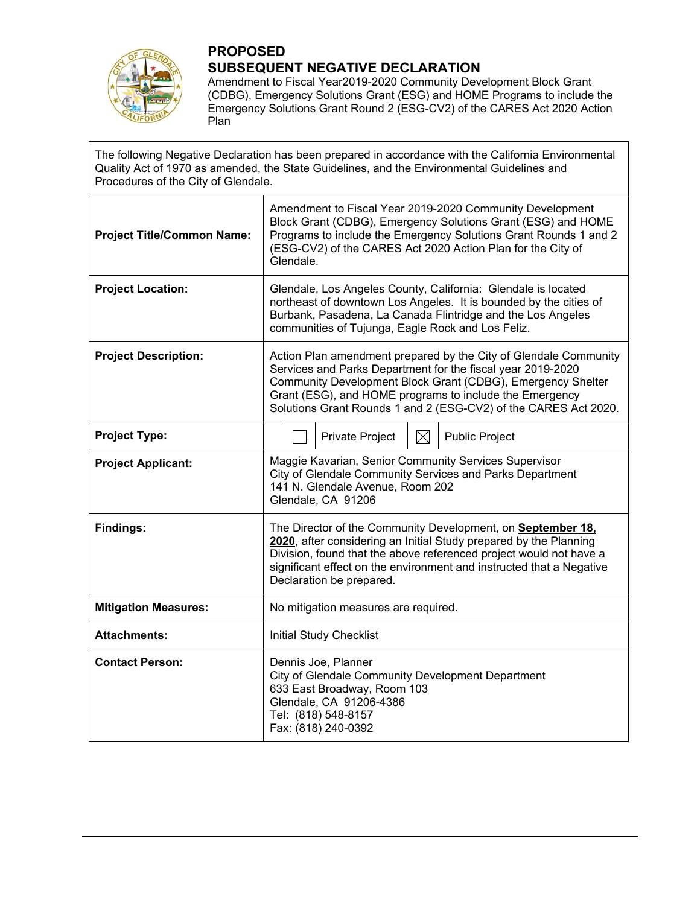

 $\Gamma$ 

# **PROPOSED SUBSEQUENT NEGATIVE DECLARATION**

Amendment to Fiscal Year2019-2020 Community Development Block Grant (CDBG), Emergency Solutions Grant (ESG) and HOME Programs to include the Emergency Solutions Grant Round 2 (ESG-CV2) of the CARES Act 2020 Action Plan

٦

| The following Negative Declaration has been prepared in accordance with the California Environmental<br>Quality Act of 1970 as amended, the State Guidelines, and the Environmental Guidelines and<br>Procedures of the City of Glendale. |                                                                                                                                                                                                                                                                                                                              |  |  |  |  |  |
|-------------------------------------------------------------------------------------------------------------------------------------------------------------------------------------------------------------------------------------------|------------------------------------------------------------------------------------------------------------------------------------------------------------------------------------------------------------------------------------------------------------------------------------------------------------------------------|--|--|--|--|--|
| <b>Project Title/Common Name:</b>                                                                                                                                                                                                         | Amendment to Fiscal Year 2019-2020 Community Development<br>Block Grant (CDBG), Emergency Solutions Grant (ESG) and HOME<br>Programs to include the Emergency Solutions Grant Rounds 1 and 2<br>(ESG-CV2) of the CARES Act 2020 Action Plan for the City of<br>Glendale.                                                     |  |  |  |  |  |
| <b>Project Location:</b>                                                                                                                                                                                                                  | Glendale, Los Angeles County, California: Glendale is located<br>northeast of downtown Los Angeles. It is bounded by the cities of<br>Burbank, Pasadena, La Canada Flintridge and the Los Angeles<br>communities of Tujunga, Eagle Rock and Los Feliz.                                                                       |  |  |  |  |  |
| <b>Project Description:</b>                                                                                                                                                                                                               | Action Plan amendment prepared by the City of Glendale Community<br>Services and Parks Department for the fiscal year 2019-2020<br>Community Development Block Grant (CDBG), Emergency Shelter<br>Grant (ESG), and HOME programs to include the Emergency<br>Solutions Grant Rounds 1 and 2 (ESG-CV2) of the CARES Act 2020. |  |  |  |  |  |
| <b>Project Type:</b>                                                                                                                                                                                                                      | Private Project<br>$\boxtimes$<br><b>Public Project</b>                                                                                                                                                                                                                                                                      |  |  |  |  |  |
| <b>Project Applicant:</b>                                                                                                                                                                                                                 | Maggie Kavarian, Senior Community Services Supervisor<br>City of Glendale Community Services and Parks Department<br>141 N. Glendale Avenue, Room 202<br>Glendale, CA 91206                                                                                                                                                  |  |  |  |  |  |
| Findings:                                                                                                                                                                                                                                 | The Director of the Community Development, on September 18,<br>2020, after considering an Initial Study prepared by the Planning<br>Division, found that the above referenced project would not have a<br>significant effect on the environment and instructed that a Negative<br>Declaration be prepared.                   |  |  |  |  |  |
| <b>Mitigation Measures:</b>                                                                                                                                                                                                               | No mitigation measures are required.                                                                                                                                                                                                                                                                                         |  |  |  |  |  |
| <b>Attachments:</b>                                                                                                                                                                                                                       | <b>Initial Study Checklist</b>                                                                                                                                                                                                                                                                                               |  |  |  |  |  |
| <b>Contact Person:</b>                                                                                                                                                                                                                    | Dennis Joe, Planner<br>City of Glendale Community Development Department<br>633 East Broadway, Room 103<br>Glendale, CA 91206-4386<br>Tel: (818) 548-8157<br>Fax: (818) 240-0392                                                                                                                                             |  |  |  |  |  |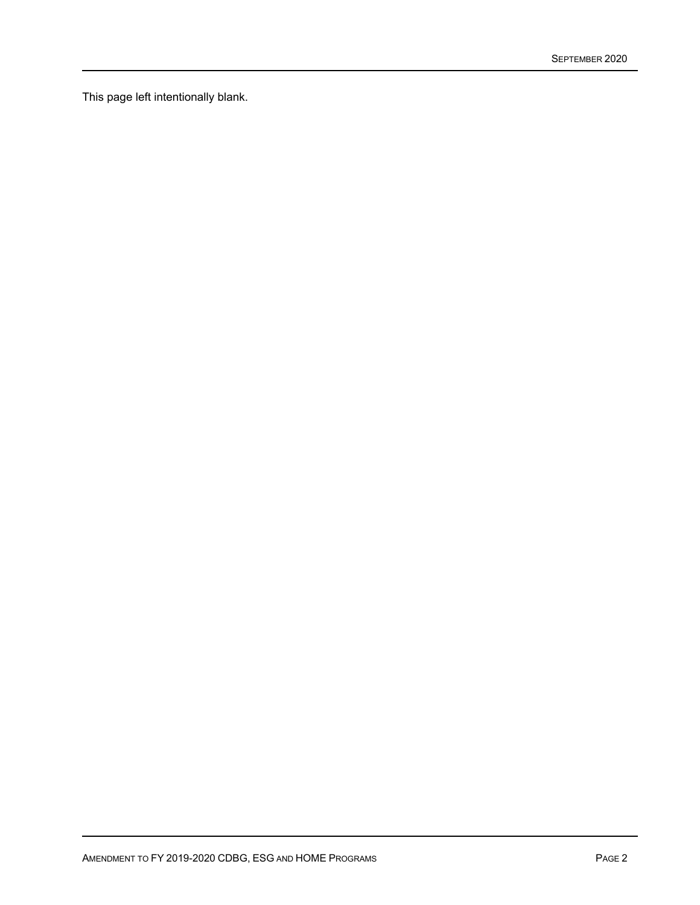This page left intentionally blank.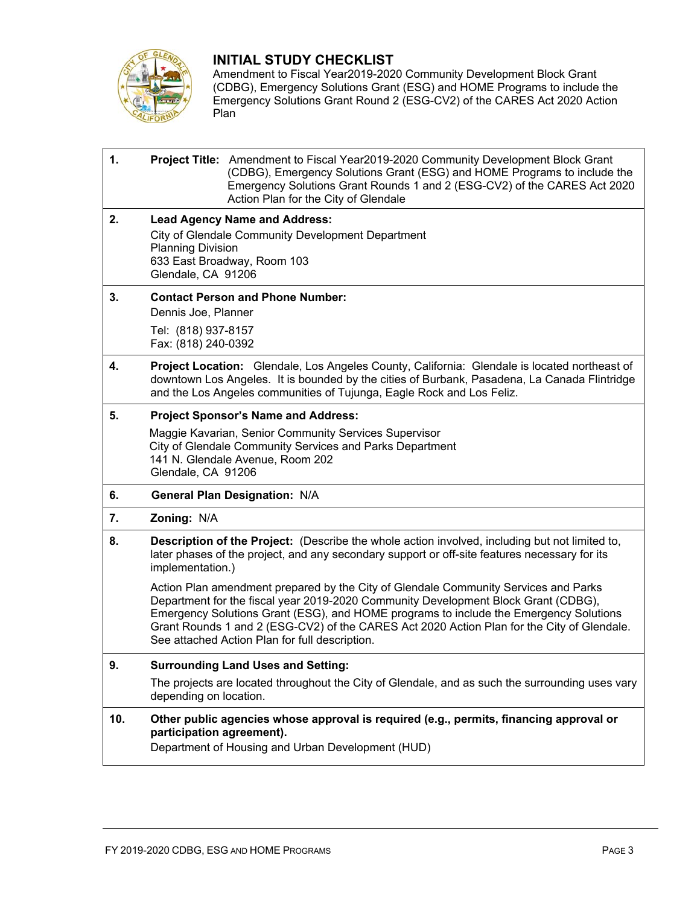

# **INITIAL STUDY CHECKLIST**

Amendment to Fiscal Year2019-2020 Community Development Block Grant (CDBG), Emergency Solutions Grant (ESG) and HOME Programs to include the Emergency Solutions Grant Round 2 (ESG-CV2) of the CARES Act 2020 Action Plan

| 1.  | Project Title: Amendment to Fiscal Year2019-2020 Community Development Block Grant<br>(CDBG), Emergency Solutions Grant (ESG) and HOME Programs to include the<br>Emergency Solutions Grant Rounds 1 and 2 (ESG-CV2) of the CARES Act 2020<br>Action Plan for the City of Glendale                                                                                                                                 |  |  |  |  |
|-----|--------------------------------------------------------------------------------------------------------------------------------------------------------------------------------------------------------------------------------------------------------------------------------------------------------------------------------------------------------------------------------------------------------------------|--|--|--|--|
| 2.  | <b>Lead Agency Name and Address:</b><br>City of Glendale Community Development Department<br><b>Planning Division</b><br>633 East Broadway, Room 103<br>Glendale, CA 91206                                                                                                                                                                                                                                         |  |  |  |  |
| 3.  | <b>Contact Person and Phone Number:</b><br>Dennis Joe, Planner<br>Tel: (818) 937-8157<br>Fax: (818) 240-0392                                                                                                                                                                                                                                                                                                       |  |  |  |  |
| 4.  | Project Location: Glendale, Los Angeles County, California: Glendale is located northeast of<br>downtown Los Angeles. It is bounded by the cities of Burbank, Pasadena, La Canada Flintridge<br>and the Los Angeles communities of Tujunga, Eagle Rock and Los Feliz.                                                                                                                                              |  |  |  |  |
| 5.  | <b>Project Sponsor's Name and Address:</b><br>Maggie Kavarian, Senior Community Services Supervisor<br>City of Glendale Community Services and Parks Department<br>141 N. Glendale Avenue, Room 202<br>Glendale, CA 91206                                                                                                                                                                                          |  |  |  |  |
| 6.  | General Plan Designation: N/A                                                                                                                                                                                                                                                                                                                                                                                      |  |  |  |  |
| 7.  | Zoning: N/A                                                                                                                                                                                                                                                                                                                                                                                                        |  |  |  |  |
| 8.  | Description of the Project: (Describe the whole action involved, including but not limited to,<br>later phases of the project, and any secondary support or off-site features necessary for its<br>implementation.)                                                                                                                                                                                                |  |  |  |  |
|     | Action Plan amendment prepared by the City of Glendale Community Services and Parks<br>Department for the fiscal year 2019-2020 Community Development Block Grant (CDBG),<br>Emergency Solutions Grant (ESG), and HOME programs to include the Emergency Solutions<br>Grant Rounds 1 and 2 (ESG-CV2) of the CARES Act 2020 Action Plan for the City of Glendale.<br>See attached Action Plan for full description. |  |  |  |  |
| 9.  | <b>Surrounding Land Uses and Setting:</b>                                                                                                                                                                                                                                                                                                                                                                          |  |  |  |  |
|     | The projects are located throughout the City of Glendale, and as such the surrounding uses vary<br>depending on location.                                                                                                                                                                                                                                                                                          |  |  |  |  |
| 10. | Other public agencies whose approval is required (e.g., permits, financing approval or<br>participation agreement).<br>Department of Housing and Urban Development (HUD)                                                                                                                                                                                                                                           |  |  |  |  |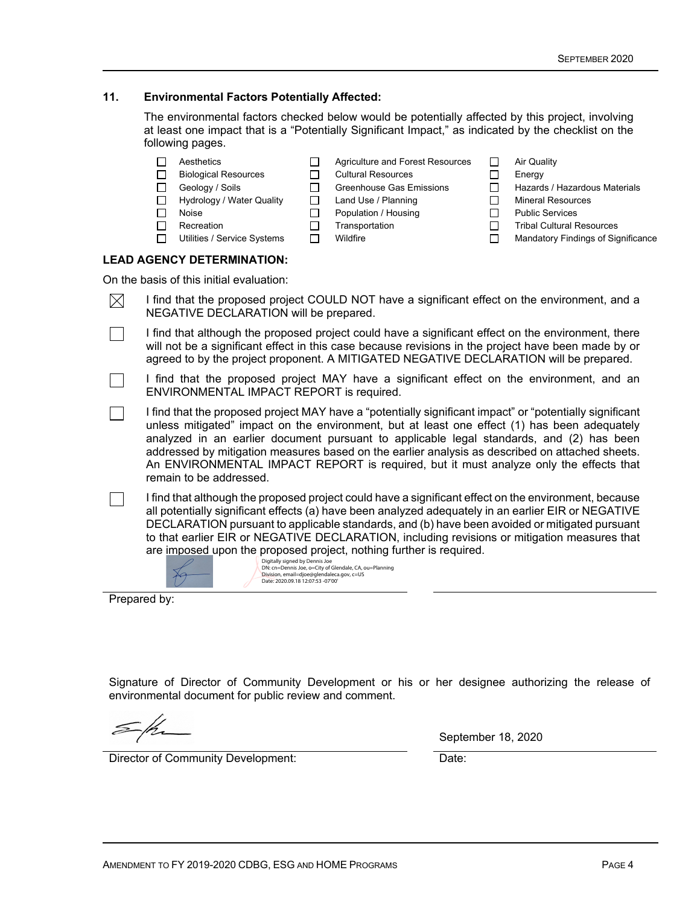# **11. Environmental Factors Potentially Affected:**

The environmental factors checked below would be potentially affected by this project, involving at least one impact that is a "Potentially Significant Impact," as indicated by the checklist on the following pages.

- Aesthetics Agriculture and Forest Resources Air Quality
- 
- 
- Hydrology / Water Quality Land Use / Planning Mineral Resources
	-
	-
	-
- Biological Resources Cultural Resources Energy
	-
	-
- □ Noise <br>□ Population / Housing Public Services
	-
	-
- 
- Geology / Soils  $\Box$  Greenhouse Gas Emissions  $\Box$  Hazards / Hazardous Materials
	- -
- □ Recreation □ Transportation Tribal Cultural Resources
- □ Utilities / Service Systems □ Wildfire Mandatory Findings of Significance

# **LEAD AGENCY DETERMINATION:**

On the basis of this initial evaluation:

- $\bowtie$ I find that the proposed project COULD NOT have a significant effect on the environment, and a NEGATIVE DECLARATION will be prepared.
	- I find that although the proposed project could have a significant effect on the environment, there will not be a significant effect in this case because revisions in the project have been made by or agreed to by the project proponent. A MITIGATED NEGATIVE DECLARATION will be prepared.
	- I find that the proposed project MAY have a significant effect on the environment, and an ENVIRONMENTAL IMPACT REPORT is required.
	- I find that the proposed project MAY have a "potentially significant impact" or "potentially significant unless mitigated" impact on the environment, but at least one effect (1) has been adequately analyzed in an earlier document pursuant to applicable legal standards, and (2) has been addressed by mitigation measures based on the earlier analysis as described on attached sheets. An ENVIRONMENTAL IMPACT REPORT is required, but it must analyze only the effects that remain to be addressed.
	- I find that although the proposed project could have a significant effect on the environment, because all potentially significant effects (a) have been analyzed adequately in an earlier EIR or NEGATIVE DECLARATION pursuant to applicable standards, and (b) have been avoided or mitigated pursuant to that earlier EIR or NEGATIVE DECLARATION, including revisions or mitigation measures that are imposed upon the proposed project, nothing further is required.

Digitally signed by Dennis Joe<br>DN: cn=Dennis Joe, o=City of Glendale, CA, ou=Planning<br>Division, email=djoe@glendaleca.gov, c=US<br>Date: 2020.09.18 12:07:53 -07'00'

Prepared by:

Signature of Director of Community Development or his or her designee authorizing the release of environmental document for public review and comment.

September 18, 2020

Director of Community Development: Date: Date: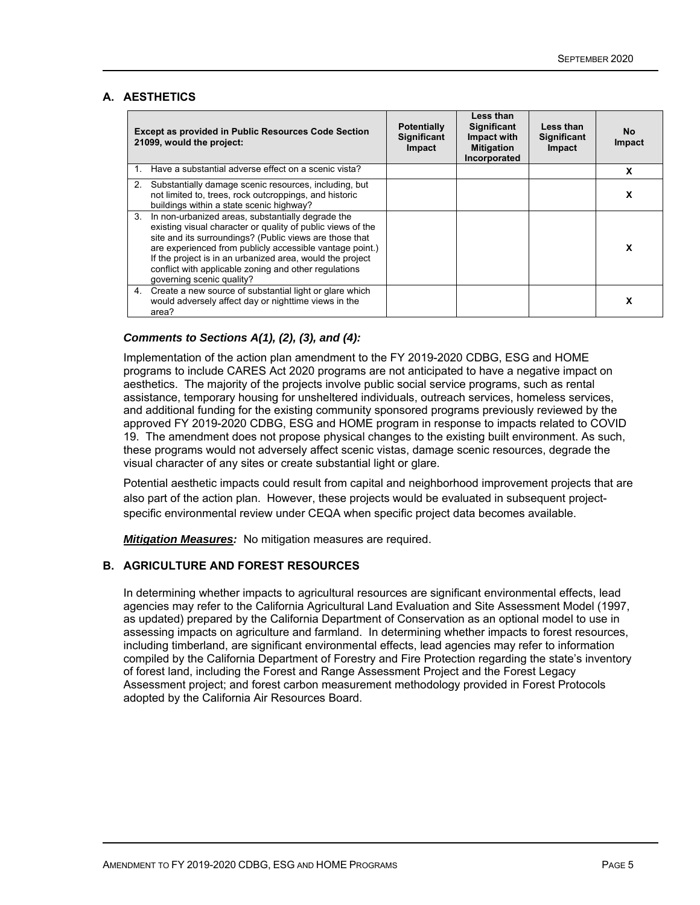# **A. AESTHETICS**

|    | <b>Except as provided in Public Resources Code Section</b><br>21099, would the project:                                                                                                                                                                                                                                                                                                    | <b>Potentially</b><br><b>Significant</b><br>Impact | Less than<br><b>Significant</b><br>Impact with<br><b>Mitigation</b><br>Incorporated | Less than<br><b>Significant</b><br>Impact | <b>No</b><br>Impact |
|----|--------------------------------------------------------------------------------------------------------------------------------------------------------------------------------------------------------------------------------------------------------------------------------------------------------------------------------------------------------------------------------------------|----------------------------------------------------|-------------------------------------------------------------------------------------|-------------------------------------------|---------------------|
|    | Have a substantial adverse effect on a scenic vista?                                                                                                                                                                                                                                                                                                                                       |                                                    |                                                                                     |                                           | X                   |
| 2. | Substantially damage scenic resources, including, but<br>not limited to, trees, rock outcroppings, and historic<br>buildings within a state scenic highway?                                                                                                                                                                                                                                |                                                    |                                                                                     |                                           | x                   |
| 3. | In non-urbanized areas, substantially degrade the<br>existing visual character or quality of public views of the<br>site and its surroundings? (Public views are those that<br>are experienced from publicly accessible vantage point.)<br>If the project is in an urbanized area, would the project<br>conflict with applicable zoning and other regulations<br>qoverning scenic quality? |                                                    |                                                                                     |                                           |                     |
|    | 4. Create a new source of substantial light or glare which<br>would adversely affect day or nighttime views in the<br>area?                                                                                                                                                                                                                                                                |                                                    |                                                                                     |                                           | x                   |

#### *Comments to Sections A(1), (2), (3), and (4):*

Implementation of the action plan amendment to the FY 2019-2020 CDBG, ESG and HOME programs to include CARES Act 2020 programs are not anticipated to have a negative impact on aesthetics. The majority of the projects involve public social service programs, such as rental assistance, temporary housing for unsheltered individuals, outreach services, homeless services, and additional funding for the existing community sponsored programs previously reviewed by the approved FY 2019-2020 CDBG, ESG and HOME program in response to impacts related to COVID 19. The amendment does not propose physical changes to the existing built environment. As such, these programs would not adversely affect scenic vistas, damage scenic resources, degrade the visual character of any sites or create substantial light or glare.

Potential aesthetic impacts could result from capital and neighborhood improvement projects that are also part of the action plan. However, these projects would be evaluated in subsequent projectspecific environmental review under CEQA when specific project data becomes available.

*Mitigation Measures:* No mitigation measures are required.

#### **B. AGRICULTURE AND FOREST RESOURCES**

In determining whether impacts to agricultural resources are significant environmental effects, lead agencies may refer to the California Agricultural Land Evaluation and Site Assessment Model (1997, as updated) prepared by the California Department of Conservation as an optional model to use in assessing impacts on agriculture and farmland. In determining whether impacts to forest resources, including timberland, are significant environmental effects, lead agencies may refer to information compiled by the California Department of Forestry and Fire Protection regarding the state's inventory of forest land, including the Forest and Range Assessment Project and the Forest Legacy Assessment project; and forest carbon measurement methodology provided in Forest Protocols adopted by the California Air Resources Board.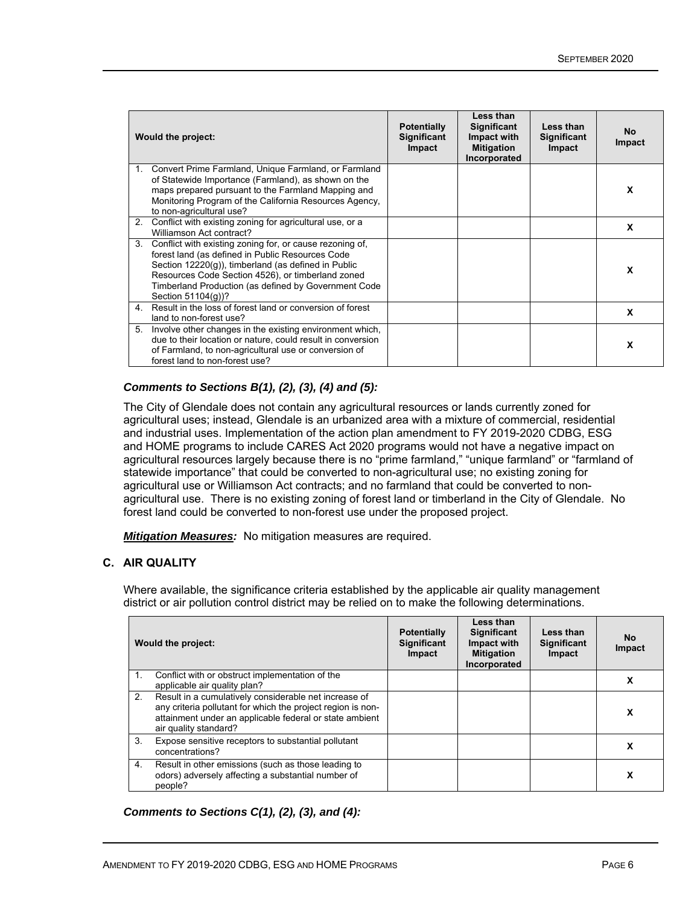|    | Would the project:                                                                                                                                                                                                                                                                                         | <b>Potentially</b><br><b>Significant</b><br>Impact | Less than<br><b>Significant</b><br>Impact with<br><b>Mitigation</b><br>Incorporated | Less than<br><b>Significant</b><br>Impact | <b>No</b><br>Impact |
|----|------------------------------------------------------------------------------------------------------------------------------------------------------------------------------------------------------------------------------------------------------------------------------------------------------------|----------------------------------------------------|-------------------------------------------------------------------------------------|-------------------------------------------|---------------------|
|    | Convert Prime Farmland, Unique Farmland, or Farmland<br>of Statewide Importance (Farmland), as shown on the<br>maps prepared pursuant to the Farmland Mapping and<br>Monitoring Program of the California Resources Agency,<br>to non-agricultural use?                                                    |                                                    |                                                                                     |                                           | x                   |
| 2. | Conflict with existing zoning for agricultural use, or a<br>Williamson Act contract?                                                                                                                                                                                                                       |                                                    |                                                                                     |                                           | X                   |
| 3. | Conflict with existing zoning for, or cause rezoning of,<br>forest land (as defined in Public Resources Code<br>Section $12220(g)$ , timberland (as defined in Public<br>Resources Code Section 4526), or timberland zoned<br>Timberland Production (as defined by Government Code<br>Section $51104(q)$ ? |                                                    |                                                                                     |                                           | X                   |
| 4. | Result in the loss of forest land or conversion of forest<br>land to non-forest use?                                                                                                                                                                                                                       |                                                    |                                                                                     |                                           | x                   |
| 5. | Involve other changes in the existing environment which,<br>due to their location or nature, could result in conversion<br>of Farmland, to non-agricultural use or conversion of<br>forest land to non-forest use?                                                                                         |                                                    |                                                                                     |                                           | X                   |

# *Comments to Sections B(1), (2), (3), (4) and (5):*

The City of Glendale does not contain any agricultural resources or lands currently zoned for agricultural uses; instead, Glendale is an urbanized area with a mixture of commercial, residential and industrial uses. Implementation of the action plan amendment to FY 2019-2020 CDBG, ESG and HOME programs to include CARES Act 2020 programs would not have a negative impact on agricultural resources largely because there is no "prime farmland," "unique farmland" or "farmland of statewide importance" that could be converted to non-agricultural use; no existing zoning for agricultural use or Williamson Act contracts; and no farmland that could be converted to nonagricultural use. There is no existing zoning of forest land or timberland in the City of Glendale. No forest land could be converted to non-forest use under the proposed project.

*Mitigation Measures:* No mitigation measures are required.

#### **C. AIR QUALITY**

Where available, the significance criteria established by the applicable air quality management district or air pollution control district may be relied on to make the following determinations.

|    | Would the project:                                                                                                                                                                                       | <b>Potentially</b><br><b>Significant</b><br>Impact | Less than<br><b>Significant</b><br>Impact with<br><b>Mitigation</b><br>Incorporated | Less than<br><b>Significant</b><br>Impact | <b>No</b><br>Impact |
|----|----------------------------------------------------------------------------------------------------------------------------------------------------------------------------------------------------------|----------------------------------------------------|-------------------------------------------------------------------------------------|-------------------------------------------|---------------------|
|    | Conflict with or obstruct implementation of the<br>applicable air quality plan?                                                                                                                          |                                                    |                                                                                     |                                           | x                   |
| 2. | Result in a cumulatively considerable net increase of<br>any criteria pollutant for which the project region is non-<br>attainment under an applicable federal or state ambient<br>air quality standard? |                                                    |                                                                                     |                                           | x                   |
| 3. | Expose sensitive receptors to substantial pollutant<br>concentrations?                                                                                                                                   |                                                    |                                                                                     |                                           | х                   |
| 4. | Result in other emissions (such as those leading to<br>odors) adversely affecting a substantial number of<br>people?                                                                                     |                                                    |                                                                                     |                                           | х                   |

# *Comments to Sections C(1), (2), (3), and (4):*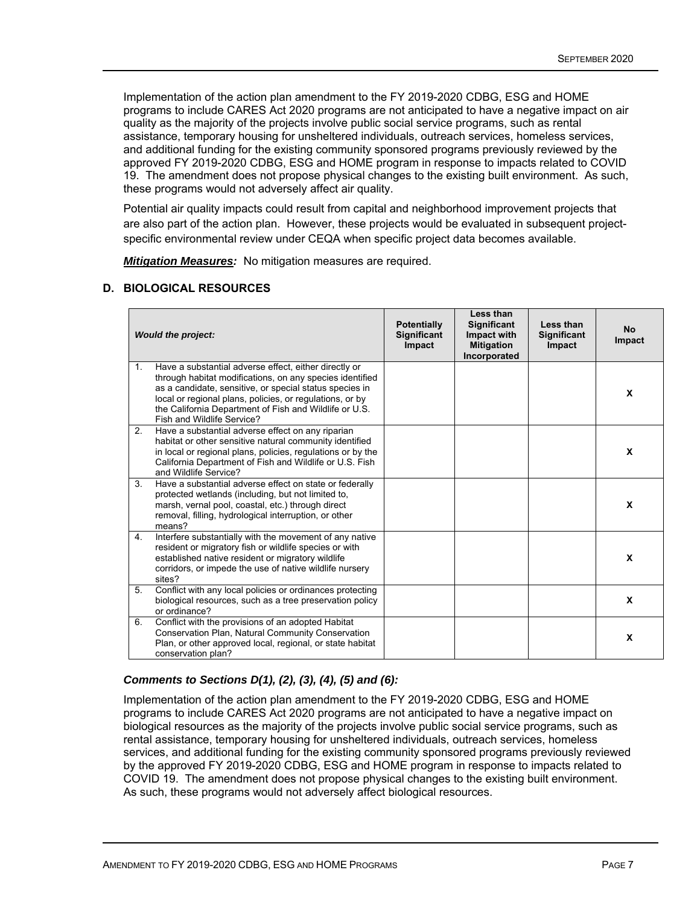Implementation of the action plan amendment to the FY 2019-2020 CDBG, ESG and HOME programs to include CARES Act 2020 programs are not anticipated to have a negative impact on air quality as the majority of the projects involve public social service programs, such as rental assistance, temporary housing for unsheltered individuals, outreach services, homeless services, and additional funding for the existing community sponsored programs previously reviewed by the approved FY 2019-2020 CDBG, ESG and HOME program in response to impacts related to COVID 19. The amendment does not propose physical changes to the existing built environment. As such, these programs would not adversely affect air quality.

Potential air quality impacts could result from capital and neighborhood improvement projects that are also part of the action plan. However, these projects would be evaluated in subsequent projectspecific environmental review under CEQA when specific project data becomes available.

*Mitigation Measures:* No mitigation measures are required.

# **D. BIOLOGICAL RESOURCES**

|                | <b>Would the project:</b>                                                                                                                                                                                                                                                                                                        | <b>Potentially</b><br><b>Significant</b><br>Impact | Less than<br><b>Significant</b><br>Impact with<br><b>Mitigation</b><br>Incorporated | Less than<br><b>Significant</b><br>Impact | <b>No</b><br><b>Impact</b> |
|----------------|----------------------------------------------------------------------------------------------------------------------------------------------------------------------------------------------------------------------------------------------------------------------------------------------------------------------------------|----------------------------------------------------|-------------------------------------------------------------------------------------|-------------------------------------------|----------------------------|
| 1 <sub>1</sub> | Have a substantial adverse effect, either directly or<br>through habitat modifications, on any species identified<br>as a candidate, sensitive, or special status species in<br>local or regional plans, policies, or regulations, or by<br>the California Department of Fish and Wildlife or U.S.<br>Fish and Wildlife Service? |                                                    |                                                                                     |                                           | X                          |
| 2.             | Have a substantial adverse effect on any riparian<br>habitat or other sensitive natural community identified<br>in local or regional plans, policies, regulations or by the<br>California Department of Fish and Wildlife or U.S. Fish<br>and Wildlife Service?                                                                  |                                                    |                                                                                     |                                           | X                          |
| 3.             | Have a substantial adverse effect on state or federally<br>protected wetlands (including, but not limited to,<br>marsh, vernal pool, coastal, etc.) through direct<br>removal, filling, hydrological interruption, or other<br>means?                                                                                            |                                                    |                                                                                     |                                           | X                          |
| 4.             | Interfere substantially with the movement of any native<br>resident or migratory fish or wildlife species or with<br>established native resident or migratory wildlife<br>corridors, or impede the use of native wildlife nursery<br>sites?                                                                                      |                                                    |                                                                                     |                                           | X                          |
| 5.             | Conflict with any local policies or ordinances protecting<br>biological resources, such as a tree preservation policy<br>or ordinance?                                                                                                                                                                                           |                                                    |                                                                                     |                                           | X                          |
| 6.             | Conflict with the provisions of an adopted Habitat<br><b>Conservation Plan, Natural Community Conservation</b><br>Plan, or other approved local, regional, or state habitat<br>conservation plan?                                                                                                                                |                                                    |                                                                                     |                                           | X                          |

# *Comments to Sections D(1), (2), (3), (4), (5) and (6):*

Implementation of the action plan amendment to the FY 2019-2020 CDBG, ESG and HOME programs to include CARES Act 2020 programs are not anticipated to have a negative impact on biological resources as the majority of the projects involve public social service programs, such as rental assistance, temporary housing for unsheltered individuals, outreach services, homeless services, and additional funding for the existing community sponsored programs previously reviewed by the approved FY 2019-2020 CDBG, ESG and HOME program in response to impacts related to COVID 19. The amendment does not propose physical changes to the existing built environment. As such, these programs would not adversely affect biological resources.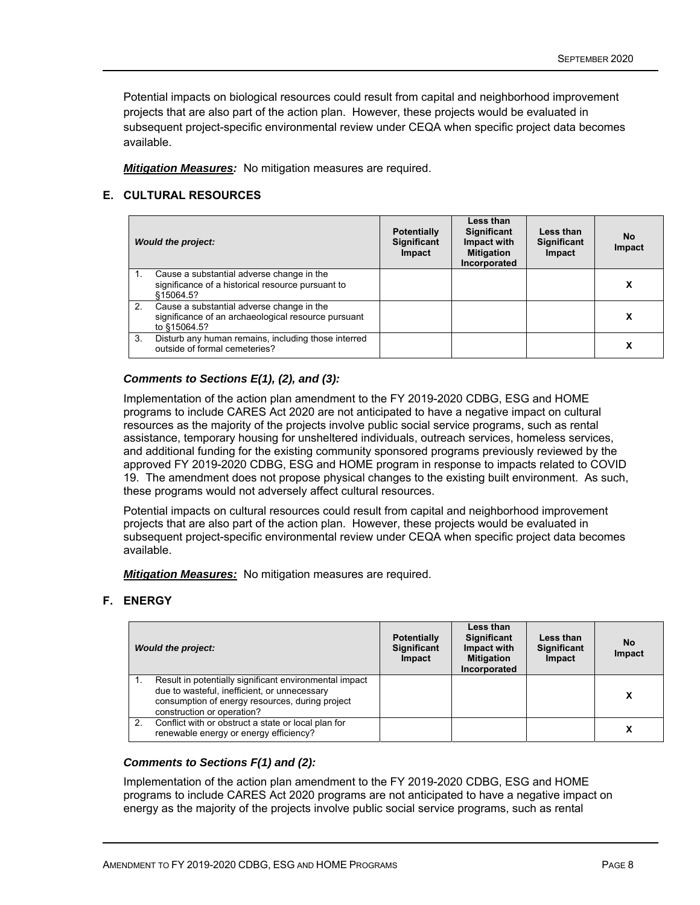Potential impacts on biological resources could result from capital and neighborhood improvement projects that are also part of the action plan. However, these projects would be evaluated in subsequent project-specific environmental review under CEQA when specific project data becomes available.

*Mitigation Measures:* No mitigation measures are required.

# **E. CULTURAL RESOURCES**

|                | <b>Would the project:</b>                                                                                        | <b>Potentially</b><br><b>Significant</b><br>Impact | Less than<br><b>Significant</b><br>Impact with<br><b>Mitigation</b><br>Incorporated | Less than<br><b>Significant</b><br>Impact | <b>No</b><br>Impact |
|----------------|------------------------------------------------------------------------------------------------------------------|----------------------------------------------------|-------------------------------------------------------------------------------------|-------------------------------------------|---------------------|
|                | Cause a substantial adverse change in the<br>significance of a historical resource pursuant to<br>\$15064.5?     |                                                    |                                                                                     |                                           | x                   |
| 2 <sup>1</sup> | Cause a substantial adverse change in the<br>significance of an archaeological resource pursuant<br>to §15064.5? |                                                    |                                                                                     |                                           | x                   |
| 3.             | Disturb any human remains, including those interred<br>outside of formal cemeteries?                             |                                                    |                                                                                     |                                           | x                   |

#### *Comments to Sections E(1), (2), and (3):*

Implementation of the action plan amendment to the FY 2019-2020 CDBG, ESG and HOME programs to include CARES Act 2020 are not anticipated to have a negative impact on cultural resources as the majority of the projects involve public social service programs, such as rental assistance, temporary housing for unsheltered individuals, outreach services, homeless services, and additional funding for the existing community sponsored programs previously reviewed by the approved FY 2019-2020 CDBG, ESG and HOME program in response to impacts related to COVID 19. The amendment does not propose physical changes to the existing built environment. As such, these programs would not adversely affect cultural resources.

Potential impacts on cultural resources could result from capital and neighborhood improvement projects that are also part of the action plan. However, these projects would be evaluated in subsequent project-specific environmental review under CEQA when specific project data becomes available.

*Mitigation Measures:* No mitigation measures are required.

# **F. ENERGY**

|    | <b>Would the project:</b>                                                                                                                                                               | <b>Potentially</b><br><b>Significant</b><br>Impact | Less than<br><b>Significant</b><br>Impact with<br><b>Mitigation</b><br>Incorporated | Less than<br><b>Significant</b><br>Impact | <b>No</b><br>Impact |
|----|-----------------------------------------------------------------------------------------------------------------------------------------------------------------------------------------|----------------------------------------------------|-------------------------------------------------------------------------------------|-------------------------------------------|---------------------|
|    | Result in potentially significant environmental impact<br>due to wasteful, inefficient, or unnecessary<br>consumption of energy resources, during project<br>construction or operation? |                                                    |                                                                                     |                                           | x                   |
| 2. | Conflict with or obstruct a state or local plan for<br>renewable energy or energy efficiency?                                                                                           |                                                    |                                                                                     |                                           | х                   |

#### *Comments to Sections F(1) and (2):*

Implementation of the action plan amendment to the FY 2019-2020 CDBG, ESG and HOME programs to include CARES Act 2020 programs are not anticipated to have a negative impact on energy as the majority of the projects involve public social service programs, such as rental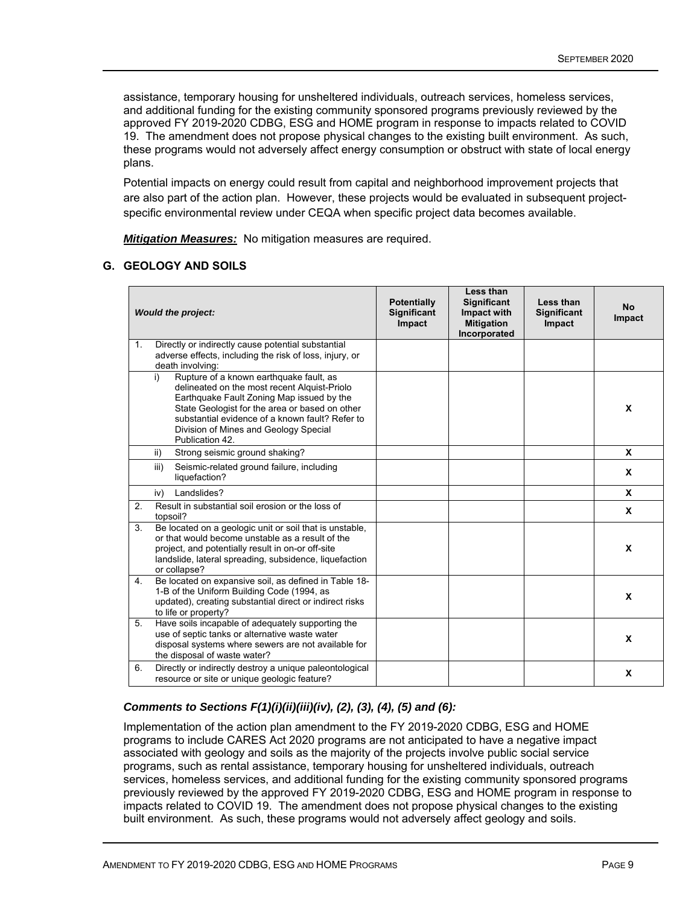assistance, temporary housing for unsheltered individuals, outreach services, homeless services, and additional funding for the existing community sponsored programs previously reviewed by the approved FY 2019-2020 CDBG, ESG and HOME program in response to impacts related to COVID 19. The amendment does not propose physical changes to the existing built environment. As such, these programs would not adversely affect energy consumption or obstruct with state of local energy plans.

Potential impacts on energy could result from capital and neighborhood improvement projects that are also part of the action plan. However, these projects would be evaluated in subsequent projectspecific environmental review under CEQA when specific project data becomes available.

*Mitigation Measures:* No mitigation measures are required.

#### **G. GEOLOGY AND SOILS**

|                | <b>Would the project:</b>                                                                                                                                                                                                                                                                                   | <b>Potentially</b><br><b>Significant</b><br>Impact | Less than<br><b>Significant</b><br>Impact with<br><b>Mitigation</b><br>Incorporated | Less than<br><b>Significant</b><br>Impact | <b>No</b><br>Impact |
|----------------|-------------------------------------------------------------------------------------------------------------------------------------------------------------------------------------------------------------------------------------------------------------------------------------------------------------|----------------------------------------------------|-------------------------------------------------------------------------------------|-------------------------------------------|---------------------|
| 1.             | Directly or indirectly cause potential substantial<br>adverse effects, including the risk of loss, injury, or<br>death involving:                                                                                                                                                                           |                                                    |                                                                                     |                                           |                     |
|                | Rupture of a known earthquake fault, as<br>i)<br>delineated on the most recent Alquist-Priolo<br>Earthquake Fault Zoning Map issued by the<br>State Geologist for the area or based on other<br>substantial evidence of a known fault? Refer to<br>Division of Mines and Geology Special<br>Publication 42. |                                                    |                                                                                     |                                           | X                   |
|                | Strong seismic ground shaking?<br>ii)                                                                                                                                                                                                                                                                       |                                                    |                                                                                     |                                           | X                   |
|                | Seismic-related ground failure, including<br>iii)<br>liquefaction?                                                                                                                                                                                                                                          |                                                    |                                                                                     |                                           | X                   |
|                | Landslides?<br>iv)                                                                                                                                                                                                                                                                                          |                                                    |                                                                                     |                                           | X                   |
| 2.             | Result in substantial soil erosion or the loss of<br>topsoil?                                                                                                                                                                                                                                               |                                                    |                                                                                     |                                           | X                   |
| 3 <sub>1</sub> | Be located on a geologic unit or soil that is unstable,<br>or that would become unstable as a result of the<br>project, and potentially result in on-or off-site<br>landslide, lateral spreading, subsidence, liquefaction<br>or collapse?                                                                  |                                                    |                                                                                     |                                           | X                   |
| 4.             | Be located on expansive soil, as defined in Table 18-<br>1-B of the Uniform Building Code (1994, as<br>updated), creating substantial direct or indirect risks<br>to life or property?                                                                                                                      |                                                    |                                                                                     |                                           | X                   |
| 5.             | Have soils incapable of adequately supporting the<br>use of septic tanks or alternative waste water<br>disposal systems where sewers are not available for<br>the disposal of waste water?                                                                                                                  |                                                    |                                                                                     |                                           | X                   |
| 6.             | Directly or indirectly destroy a unique paleontological<br>resource or site or unique geologic feature?                                                                                                                                                                                                     |                                                    |                                                                                     |                                           | X                   |

# *Comments to Sections F(1)(i)(ii)(iii)(iv), (2), (3), (4), (5) and (6):*

Implementation of the action plan amendment to the FY 2019-2020 CDBG, ESG and HOME programs to include CARES Act 2020 programs are not anticipated to have a negative impact associated with geology and soils as the majority of the projects involve public social service programs, such as rental assistance, temporary housing for unsheltered individuals, outreach services, homeless services, and additional funding for the existing community sponsored programs previously reviewed by the approved FY 2019-2020 CDBG, ESG and HOME program in response to impacts related to COVID 19. The amendment does not propose physical changes to the existing built environment. As such, these programs would not adversely affect geology and soils.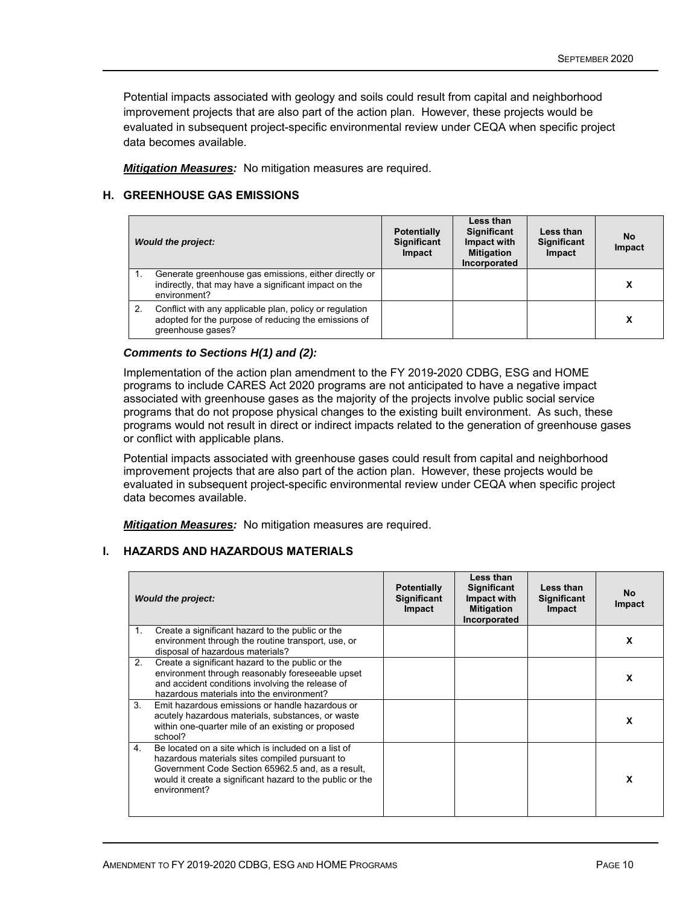Potential impacts associated with geology and soils could result from capital and neighborhood improvement projects that are also part of the action plan. However, these projects would be evaluated in subsequent project-specific environmental review under CEQA when specific project data becomes available.

*Mitigation Measures:* No mitigation measures are required.

#### **H. GREENHOUSE GAS EMISSIONS**

|    | <b>Would the project:</b>                                                                                                            | <b>Potentially</b><br><b>Significant</b><br>Impact | Less than<br><b>Significant</b><br>Impact with<br><b>Mitigation</b><br>Incorporated | Less than<br><b>Significant</b><br>Impact | No<br>Impact |
|----|--------------------------------------------------------------------------------------------------------------------------------------|----------------------------------------------------|-------------------------------------------------------------------------------------|-------------------------------------------|--------------|
|    | Generate greenhouse gas emissions, either directly or<br>indirectly, that may have a significant impact on the<br>environment?       |                                                    |                                                                                     |                                           | х            |
| 2. | Conflict with any applicable plan, policy or regulation<br>adopted for the purpose of reducing the emissions of<br>greenhouse gases? |                                                    |                                                                                     |                                           | х            |

#### *Comments to Sections H(1) and (2):*

Implementation of the action plan amendment to the FY 2019-2020 CDBG, ESG and HOME programs to include CARES Act 2020 programs are not anticipated to have a negative impact associated with greenhouse gases as the majority of the projects involve public social service programs that do not propose physical changes to the existing built environment. As such, these programs would not result in direct or indirect impacts related to the generation of greenhouse gases or conflict with applicable plans.

Potential impacts associated with greenhouse gases could result from capital and neighborhood improvement projects that are also part of the action plan. However, these projects would be evaluated in subsequent project-specific environmental review under CEQA when specific project data becomes available.

*Mitigation Measures:* No mitigation measures are required.

#### **I. HAZARDS AND HAZARDOUS MATERIALS**

|                | <b>Would the project:</b>                                                                                                                                                                                                               | <b>Potentially</b><br><b>Significant</b><br>Impact | Less than<br><b>Significant</b><br>Impact with<br><b>Mitigation</b><br>Incorporated | Less than<br><b>Significant</b><br>Impact | No.<br>Impact |
|----------------|-----------------------------------------------------------------------------------------------------------------------------------------------------------------------------------------------------------------------------------------|----------------------------------------------------|-------------------------------------------------------------------------------------|-------------------------------------------|---------------|
| $\mathbf{1}$ . | Create a significant hazard to the public or the<br>environment through the routine transport, use, or<br>disposal of hazardous materials?                                                                                              |                                                    |                                                                                     |                                           | x             |
| 2.             | Create a significant hazard to the public or the<br>environment through reasonably foreseeable upset<br>and accident conditions involving the release of<br>hazardous materials into the environment?                                   |                                                    |                                                                                     |                                           | х             |
| 3 <sub>1</sub> | Emit hazardous emissions or handle hazardous or<br>acutely hazardous materials, substances, or waste<br>within one-quarter mile of an existing or proposed<br>school?                                                                   |                                                    |                                                                                     |                                           | X             |
| 4.             | Be located on a site which is included on a list of<br>hazardous materials sites compiled pursuant to<br>Government Code Section 65962.5 and, as a result,<br>would it create a significant hazard to the public or the<br>environment? |                                                    |                                                                                     |                                           | x             |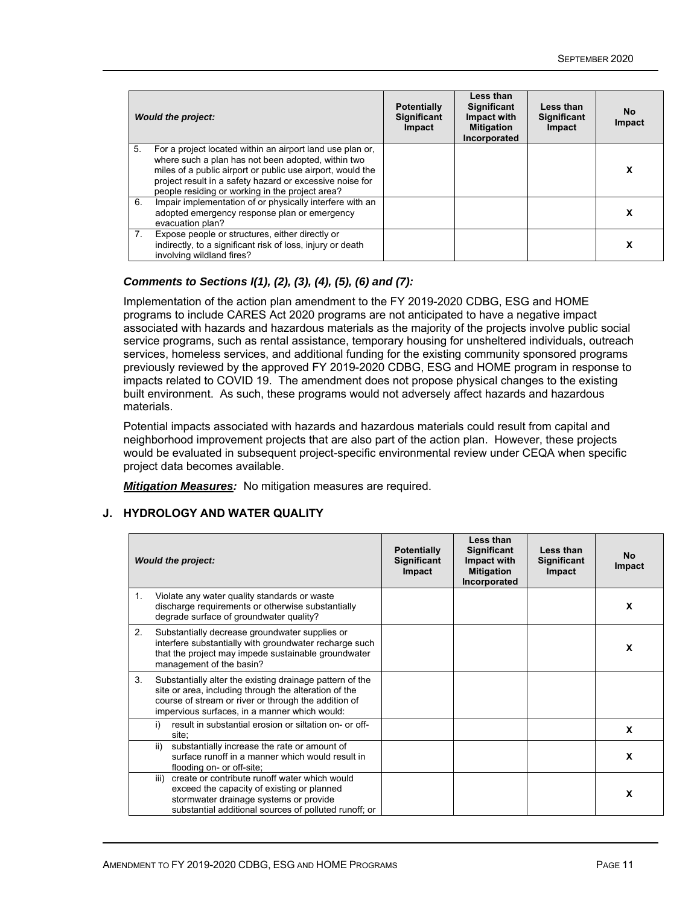|    | <b>Would the project:</b>                                                                                                                                                                                                                                                                    | <b>Potentially</b><br><b>Significant</b><br>Impact | Less than<br><b>Significant</b><br>Impact with<br><b>Mitigation</b><br>Incorporated | Less than<br><b>Significant</b><br>Impact | <b>No</b><br>Impact |
|----|----------------------------------------------------------------------------------------------------------------------------------------------------------------------------------------------------------------------------------------------------------------------------------------------|----------------------------------------------------|-------------------------------------------------------------------------------------|-------------------------------------------|---------------------|
| 5. | For a project located within an airport land use plan or,<br>where such a plan has not been adopted, within two<br>miles of a public airport or public use airport, would the<br>project result in a safety hazard or excessive noise for<br>people residing or working in the project area? |                                                    |                                                                                     |                                           | X                   |
| 6. | Impair implementation of or physically interfere with an<br>adopted emergency response plan or emergency<br>evacuation plan?                                                                                                                                                                 |                                                    |                                                                                     |                                           | x                   |
| 7. | Expose people or structures, either directly or<br>indirectly, to a significant risk of loss, injury or death<br>involving wildland fires?                                                                                                                                                   |                                                    |                                                                                     |                                           | x                   |

# *Comments to Sections I(1), (2), (3), (4), (5), (6) and (7):*

Implementation of the action plan amendment to the FY 2019-2020 CDBG, ESG and HOME programs to include CARES Act 2020 programs are not anticipated to have a negative impact associated with hazards and hazardous materials as the majority of the projects involve public social service programs, such as rental assistance, temporary housing for unsheltered individuals, outreach services, homeless services, and additional funding for the existing community sponsored programs previously reviewed by the approved FY 2019-2020 CDBG, ESG and HOME program in response to impacts related to COVID 19. The amendment does not propose physical changes to the existing built environment. As such, these programs would not adversely affect hazards and hazardous materials.

Potential impacts associated with hazards and hazardous materials could result from capital and neighborhood improvement projects that are also part of the action plan. However, these projects would be evaluated in subsequent project-specific environmental review under CEQA when specific project data becomes available.

*Mitigation Measures:* No mitigation measures are required.

# **J. HYDROLOGY AND WATER QUALITY**

|                | <b>Would the project:</b>                                                                                                                                                                                                  | <b>Potentially</b><br><b>Significant</b><br>Impact | Less than<br><b>Significant</b><br>Impact with<br><b>Mitigation</b><br>Incorporated | Less than<br>Significant<br>Impact | <b>No</b><br>Impact |
|----------------|----------------------------------------------------------------------------------------------------------------------------------------------------------------------------------------------------------------------------|----------------------------------------------------|-------------------------------------------------------------------------------------|------------------------------------|---------------------|
| 1 <sub>1</sub> | Violate any water quality standards or waste<br>discharge requirements or otherwise substantially<br>degrade surface of groundwater quality?                                                                               |                                                    |                                                                                     |                                    | X                   |
| 2.             | Substantially decrease groundwater supplies or<br>interfere substantially with groundwater recharge such<br>that the project may impede sustainable groundwater<br>management of the basin?                                |                                                    |                                                                                     |                                    | X                   |
| 3.             | Substantially alter the existing drainage pattern of the<br>site or area, including through the alteration of the<br>course of stream or river or through the addition of<br>impervious surfaces, in a manner which would: |                                                    |                                                                                     |                                    |                     |
|                | result in substantial erosion or siltation on- or off-<br>i)<br>site:                                                                                                                                                      |                                                    |                                                                                     |                                    | X                   |
|                | substantially increase the rate or amount of<br>ii)<br>surface runoff in a manner which would result in<br>flooding on- or off-site;                                                                                       |                                                    |                                                                                     |                                    | X                   |
|                | create or contribute runoff water which would<br>iii)<br>exceed the capacity of existing or planned<br>stormwater drainage systems or provide<br>substantial additional sources of polluted runoff; or                     |                                                    |                                                                                     |                                    | x                   |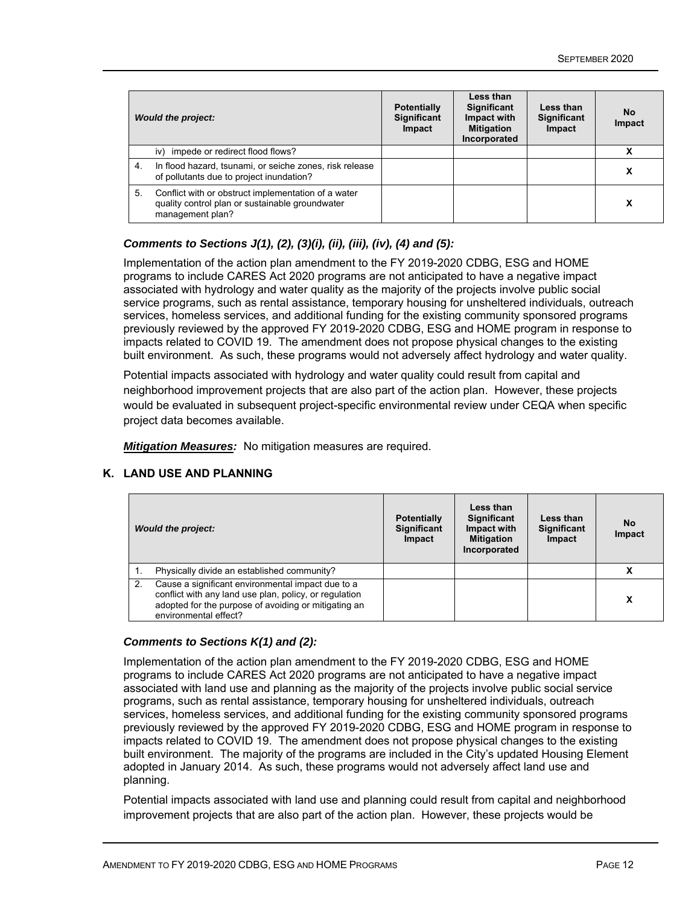|    | <b>Would the project:</b>                                                                                                  | <b>Potentially</b><br><b>Significant</b><br>Impact | Less than<br><b>Significant</b><br>Impact with<br><b>Mitigation</b><br>Incorporated | Less than<br>Significant<br>Impact | <b>No</b><br>Impact |
|----|----------------------------------------------------------------------------------------------------------------------------|----------------------------------------------------|-------------------------------------------------------------------------------------|------------------------------------|---------------------|
|    | iv) impede or redirect flood flows?                                                                                        |                                                    |                                                                                     |                                    |                     |
| 4. | In flood hazard, tsunami, or seiche zones, risk release<br>of pollutants due to project inundation?                        |                                                    |                                                                                     |                                    | х                   |
| 5. | Conflict with or obstruct implementation of a water<br>quality control plan or sustainable groundwater<br>management plan? |                                                    |                                                                                     |                                    | x                   |

# *Comments to Sections J(1), (2), (3)(i), (ii), (iii), (iv), (4) and (5):*

Implementation of the action plan amendment to the FY 2019-2020 CDBG, ESG and HOME programs to include CARES Act 2020 programs are not anticipated to have a negative impact associated with hydrology and water quality as the majority of the projects involve public social service programs, such as rental assistance, temporary housing for unsheltered individuals, outreach services, homeless services, and additional funding for the existing community sponsored programs previously reviewed by the approved FY 2019-2020 CDBG, ESG and HOME program in response to impacts related to COVID 19. The amendment does not propose physical changes to the existing built environment. As such, these programs would not adversely affect hydrology and water quality.

Potential impacts associated with hydrology and water quality could result from capital and neighborhood improvement projects that are also part of the action plan. However, these projects would be evaluated in subsequent project-specific environmental review under CEQA when specific project data becomes available.

*Mitigation Measures:* No mitigation measures are required.

|                | <b>Would the project:</b>                                                                                                                                                                    | <b>Potentially</b><br><b>Significant</b><br><b>Impact</b> | Less than<br><b>Significant</b><br>Impact with<br><b>Mitigation</b><br>Incorporated | Less than<br><b>Significant</b><br>Impact | <b>No</b><br>Impact |
|----------------|----------------------------------------------------------------------------------------------------------------------------------------------------------------------------------------------|-----------------------------------------------------------|-------------------------------------------------------------------------------------|-------------------------------------------|---------------------|
|                | Physically divide an established community?                                                                                                                                                  |                                                           |                                                                                     |                                           |                     |
| 2 <sub>1</sub> | Cause a significant environmental impact due to a<br>conflict with any land use plan, policy, or regulation<br>adopted for the purpose of avoiding or mitigating an<br>environmental effect? |                                                           |                                                                                     |                                           | x                   |

#### **K. LAND USE AND PLANNING**

#### *Comments to Sections K(1) and (2):*

Implementation of the action plan amendment to the FY 2019-2020 CDBG, ESG and HOME programs to include CARES Act 2020 programs are not anticipated to have a negative impact associated with land use and planning as the majority of the projects involve public social service programs, such as rental assistance, temporary housing for unsheltered individuals, outreach services, homeless services, and additional funding for the existing community sponsored programs previously reviewed by the approved FY 2019-2020 CDBG, ESG and HOME program in response to impacts related to COVID 19. The amendment does not propose physical changes to the existing built environment. The majority of the programs are included in the City's updated Housing Element adopted in January 2014. As such, these programs would not adversely affect land use and planning.

Potential impacts associated with land use and planning could result from capital and neighborhood improvement projects that are also part of the action plan. However, these projects would be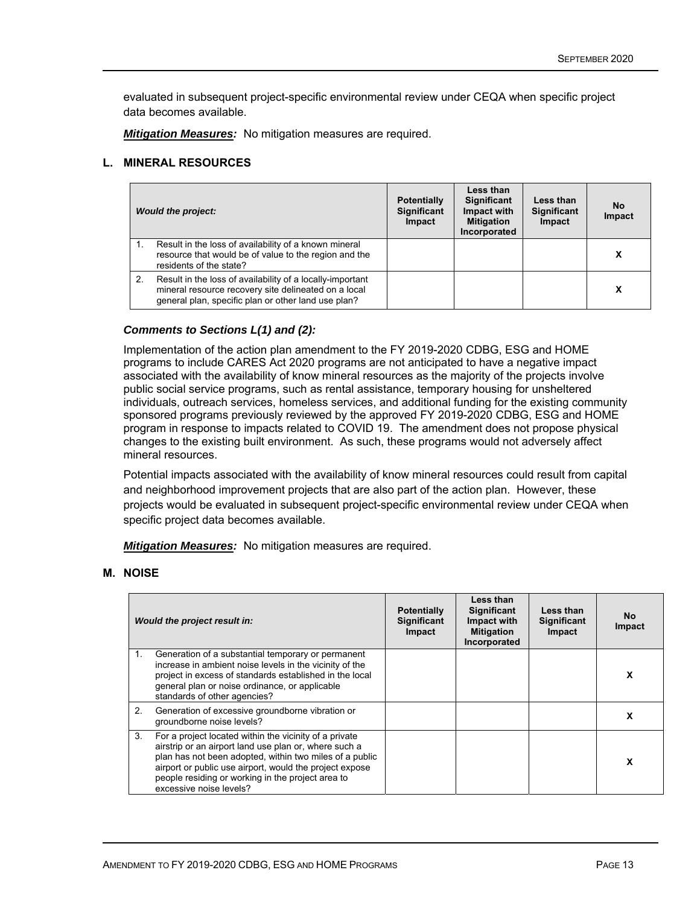evaluated in subsequent project-specific environmental review under CEQA when specific project data becomes available.

*Mitigation Measures:* No mitigation measures are required.

#### **L. MINERAL RESOURCES**

|    | <b>Would the project:</b>                                                                                                                                                | <b>Potentially</b><br><b>Significant</b><br>Impact | Less than<br><b>Significant</b><br>Impact with<br><b>Mitigation</b><br>Incorporated | Less than<br><b>Significant</b><br>Impact | <b>No</b><br>Impact |
|----|--------------------------------------------------------------------------------------------------------------------------------------------------------------------------|----------------------------------------------------|-------------------------------------------------------------------------------------|-------------------------------------------|---------------------|
|    | Result in the loss of availability of a known mineral<br>resource that would be of value to the region and the<br>residents of the state?                                |                                                    |                                                                                     |                                           | х                   |
| 2. | Result in the loss of availability of a locally-important<br>mineral resource recovery site delineated on a local<br>general plan, specific plan or other land use plan? |                                                    |                                                                                     |                                           | х                   |

#### *Comments to Sections L(1) and (2):*

Implementation of the action plan amendment to the FY 2019-2020 CDBG, ESG and HOME programs to include CARES Act 2020 programs are not anticipated to have a negative impact associated with the availability of know mineral resources as the majority of the projects involve public social service programs, such as rental assistance, temporary housing for unsheltered individuals, outreach services, homeless services, and additional funding for the existing community sponsored programs previously reviewed by the approved FY 2019-2020 CDBG, ESG and HOME program in response to impacts related to COVID 19. The amendment does not propose physical changes to the existing built environment. As such, these programs would not adversely affect mineral resources.

Potential impacts associated with the availability of know mineral resources could result from capital and neighborhood improvement projects that are also part of the action plan. However, these projects would be evaluated in subsequent project-specific environmental review under CEQA when specific project data becomes available.

*Mitigation Measures:* No mitigation measures are required.

#### **M. NOISE**

| Would the project result in: |                                                                                                                                                                                                                                                                                                                       | <b>Potentially</b><br><b>Significant</b><br>Impact | Less than<br><b>Significant</b><br>Impact with<br><b>Mitigation</b><br>Incorporated | Less than<br><b>Significant</b><br>Impact | <b>No</b><br>Impact |
|------------------------------|-----------------------------------------------------------------------------------------------------------------------------------------------------------------------------------------------------------------------------------------------------------------------------------------------------------------------|----------------------------------------------------|-------------------------------------------------------------------------------------|-------------------------------------------|---------------------|
| $1_{-}$                      | Generation of a substantial temporary or permanent<br>increase in ambient noise levels in the vicinity of the<br>project in excess of standards established in the local<br>general plan or noise ordinance, or applicable<br>standards of other agencies?                                                            |                                                    |                                                                                     |                                           | х                   |
| 2.                           | Generation of excessive groundborne vibration or<br>groundborne noise levels?                                                                                                                                                                                                                                         |                                                    |                                                                                     |                                           | х                   |
| 3.                           | For a project located within the vicinity of a private<br>airstrip or an airport land use plan or, where such a<br>plan has not been adopted, within two miles of a public<br>airport or public use airport, would the project expose<br>people residing or working in the project area to<br>excessive noise levels? |                                                    |                                                                                     |                                           | x                   |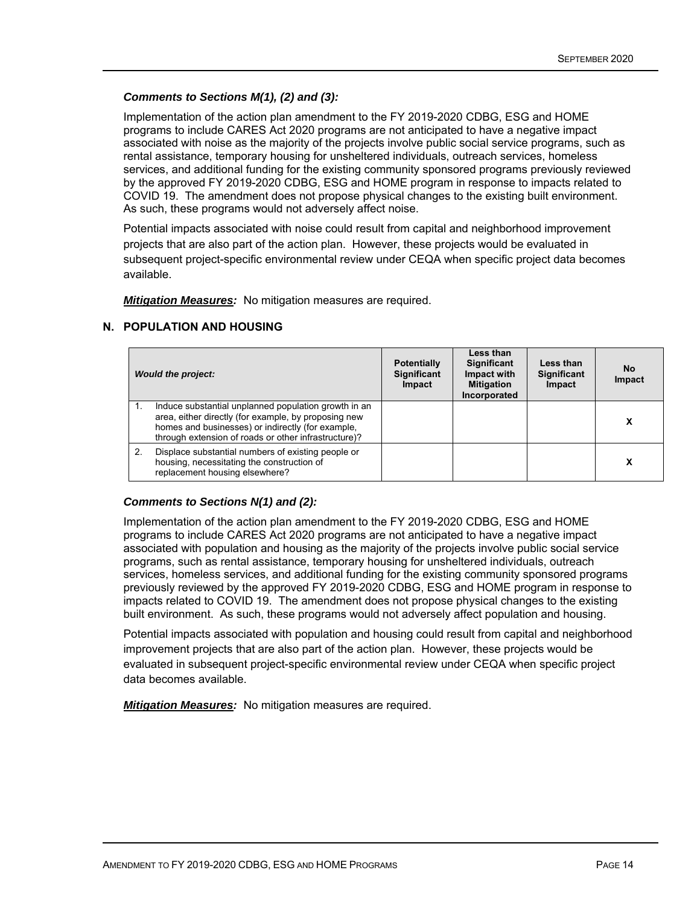### *Comments to Sections M(1), (2) and (3):*

Implementation of the action plan amendment to the FY 2019-2020 CDBG, ESG and HOME programs to include CARES Act 2020 programs are not anticipated to have a negative impact associated with noise as the majority of the projects involve public social service programs, such as rental assistance, temporary housing for unsheltered individuals, outreach services, homeless services, and additional funding for the existing community sponsored programs previously reviewed by the approved FY 2019-2020 CDBG, ESG and HOME program in response to impacts related to COVID 19. The amendment does not propose physical changes to the existing built environment. As such, these programs would not adversely affect noise.

Potential impacts associated with noise could result from capital and neighborhood improvement projects that are also part of the action plan. However, these projects would be evaluated in subsequent project-specific environmental review under CEQA when specific project data becomes available.

*Mitigation Measures:* No mitigation measures are required.

# **N. POPULATION AND HOUSING**

|    | <b>Would the project:</b>                                                                                                                                                                                                 | <b>Potentially</b><br><b>Significant</b><br>Impact | Less than<br><b>Significant</b><br>Impact with<br><b>Mitigation</b><br>Incorporated | Less than<br><b>Significant</b><br>Impact | <b>No</b><br>Impact |
|----|---------------------------------------------------------------------------------------------------------------------------------------------------------------------------------------------------------------------------|----------------------------------------------------|-------------------------------------------------------------------------------------|-------------------------------------------|---------------------|
|    | Induce substantial unplanned population growth in an<br>area, either directly (for example, by proposing new<br>homes and businesses) or indirectly (for example,<br>through extension of roads or other infrastructure)? |                                                    |                                                                                     |                                           | х                   |
| 2. | Displace substantial numbers of existing people or<br>housing, necessitating the construction of<br>replacement housing elsewhere?                                                                                        |                                                    |                                                                                     |                                           | х                   |

# *Comments to Sections N(1) and (2):*

Implementation of the action plan amendment to the FY 2019-2020 CDBG, ESG and HOME programs to include CARES Act 2020 programs are not anticipated to have a negative impact associated with population and housing as the majority of the projects involve public social service programs, such as rental assistance, temporary housing for unsheltered individuals, outreach services, homeless services, and additional funding for the existing community sponsored programs previously reviewed by the approved FY 2019-2020 CDBG, ESG and HOME program in response to impacts related to COVID 19. The amendment does not propose physical changes to the existing built environment. As such, these programs would not adversely affect population and housing.

Potential impacts associated with population and housing could result from capital and neighborhood improvement projects that are also part of the action plan. However, these projects would be evaluated in subsequent project-specific environmental review under CEQA when specific project data becomes available.

*Mitigation Measures:* No mitigation measures are required.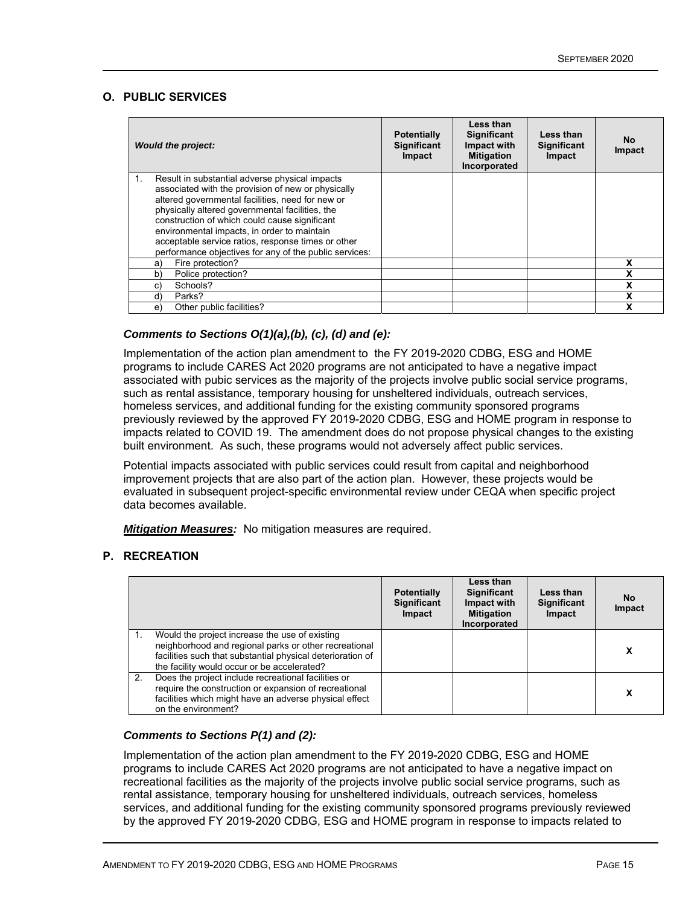# **O. PUBLIC SERVICES**

| <b>Would the project:</b>                                                                                                                                                                                                                                                                                                                                                                                                         | <b>Potentially</b><br><b>Significant</b><br>Impact | Less than<br><b>Significant</b><br>Impact with<br><b>Mitigation</b><br>Incorporated | Less than<br><b>Significant</b><br><b>Impact</b> | <b>No</b><br>Impact |
|-----------------------------------------------------------------------------------------------------------------------------------------------------------------------------------------------------------------------------------------------------------------------------------------------------------------------------------------------------------------------------------------------------------------------------------|----------------------------------------------------|-------------------------------------------------------------------------------------|--------------------------------------------------|---------------------|
| Result in substantial adverse physical impacts<br>1.<br>associated with the provision of new or physically<br>altered governmental facilities, need for new or<br>physically altered governmental facilities, the<br>construction of which could cause significant<br>environmental impacts, in order to maintain<br>acceptable service ratios, response times or other<br>performance objectives for any of the public services: |                                                    |                                                                                     |                                                  |                     |
| Fire protection?<br>a)                                                                                                                                                                                                                                                                                                                                                                                                            |                                                    |                                                                                     |                                                  | X                   |
| Police protection?<br>b)                                                                                                                                                                                                                                                                                                                                                                                                          |                                                    |                                                                                     |                                                  | X                   |
| Schools?<br>c)                                                                                                                                                                                                                                                                                                                                                                                                                    |                                                    |                                                                                     |                                                  | X                   |
| d)<br>Parks?                                                                                                                                                                                                                                                                                                                                                                                                                      |                                                    |                                                                                     |                                                  | х                   |
| Other public facilities?<br>e)                                                                                                                                                                                                                                                                                                                                                                                                    |                                                    |                                                                                     |                                                  |                     |

# *Comments to Sections O(1)(a),(b), (c), (d) and (e):*

Implementation of the action plan amendment to the FY 2019-2020 CDBG, ESG and HOME programs to include CARES Act 2020 programs are not anticipated to have a negative impact associated with pubic services as the majority of the projects involve public social service programs, such as rental assistance, temporary housing for unsheltered individuals, outreach services, homeless services, and additional funding for the existing community sponsored programs previously reviewed by the approved FY 2019-2020 CDBG, ESG and HOME program in response to impacts related to COVID 19. The amendment does do not propose physical changes to the existing built environment. As such, these programs would not adversely affect public services.

Potential impacts associated with public services could result from capital and neighborhood improvement projects that are also part of the action plan. However, these projects would be evaluated in subsequent project-specific environmental review under CEQA when specific project data becomes available.

*Mitigation Measures:* No mitigation measures are required.

#### **P. RECREATION**

|    |                                                                                                                                                                                                                      | <b>Potentially</b><br><b>Significant</b><br>Impact | Less than<br><b>Significant</b><br>Impact with<br><b>Mitigation</b><br>Incorporated | Less than<br><b>Significant</b><br>Impact | <b>No</b><br>Impact |
|----|----------------------------------------------------------------------------------------------------------------------------------------------------------------------------------------------------------------------|----------------------------------------------------|-------------------------------------------------------------------------------------|-------------------------------------------|---------------------|
| 1. | Would the project increase the use of existing<br>neighborhood and regional parks or other recreational<br>facilities such that substantial physical deterioration of<br>the facility would occur or be accelerated? |                                                    |                                                                                     |                                           | х                   |
| 2. | Does the project include recreational facilities or<br>require the construction or expansion of recreational<br>facilities which might have an adverse physical effect<br>on the environment?                        |                                                    |                                                                                     |                                           | х                   |

#### *Comments to Sections P(1) and (2):*

Implementation of the action plan amendment to the FY 2019-2020 CDBG, ESG and HOME programs to include CARES Act 2020 programs are not anticipated to have a negative impact on recreational facilities as the majority of the projects involve public social service programs, such as rental assistance, temporary housing for unsheltered individuals, outreach services, homeless services, and additional funding for the existing community sponsored programs previously reviewed by the approved FY 2019-2020 CDBG, ESG and HOME program in response to impacts related to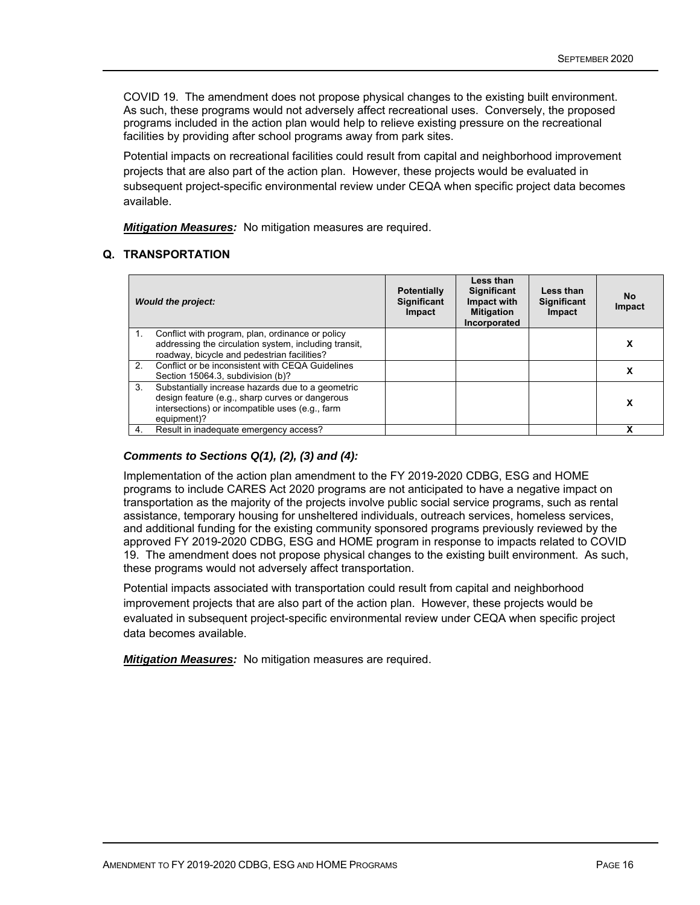COVID 19. The amendment does not propose physical changes to the existing built environment. As such, these programs would not adversely affect recreational uses. Conversely, the proposed programs included in the action plan would help to relieve existing pressure on the recreational facilities by providing after school programs away from park sites.

Potential impacts on recreational facilities could result from capital and neighborhood improvement projects that are also part of the action plan. However, these projects would be evaluated in subsequent project-specific environmental review under CEQA when specific project data becomes available.

*Mitigation Measures:* No mitigation measures are required.

#### **Q. TRANSPORTATION**

|                | <b>Would the project:</b>                                                                                                                                              | <b>Potentially</b><br><b>Significant</b><br>Impact | Less than<br><b>Significant</b><br>Impact with<br><b>Mitigation</b><br>Incorporated | Less than<br><b>Significant</b><br><b>Impact</b> | <b>No</b><br>Impact |
|----------------|------------------------------------------------------------------------------------------------------------------------------------------------------------------------|----------------------------------------------------|-------------------------------------------------------------------------------------|--------------------------------------------------|---------------------|
|                | Conflict with program, plan, ordinance or policy                                                                                                                       |                                                    |                                                                                     |                                                  |                     |
|                | addressing the circulation system, including transit,<br>roadway, bicycle and pedestrian facilities?                                                                   |                                                    |                                                                                     |                                                  | х                   |
| 2 <sub>1</sub> | Conflict or be inconsistent with CEQA Guidelines<br>Section 15064.3, subdivision (b)?                                                                                  |                                                    |                                                                                     |                                                  | х                   |
| 3.             | Substantially increase hazards due to a geometric<br>design feature (e.g., sharp curves or dangerous<br>intersections) or incompatible uses (e.g., farm<br>equipment)? |                                                    |                                                                                     |                                                  | х                   |
|                | Result in inadequate emergency access?                                                                                                                                 |                                                    |                                                                                     |                                                  |                     |

#### *Comments to Sections Q(1), (2), (3) and (4):*

Implementation of the action plan amendment to the FY 2019-2020 CDBG, ESG and HOME programs to include CARES Act 2020 programs are not anticipated to have a negative impact on transportation as the majority of the projects involve public social service programs, such as rental assistance, temporary housing for unsheltered individuals, outreach services, homeless services, and additional funding for the existing community sponsored programs previously reviewed by the approved FY 2019-2020 CDBG, ESG and HOME program in response to impacts related to COVID 19. The amendment does not propose physical changes to the existing built environment. As such, these programs would not adversely affect transportation.

Potential impacts associated with transportation could result from capital and neighborhood improvement projects that are also part of the action plan. However, these projects would be evaluated in subsequent project-specific environmental review under CEQA when specific project data becomes available.

*Mitigation Measures:* No mitigation measures are required.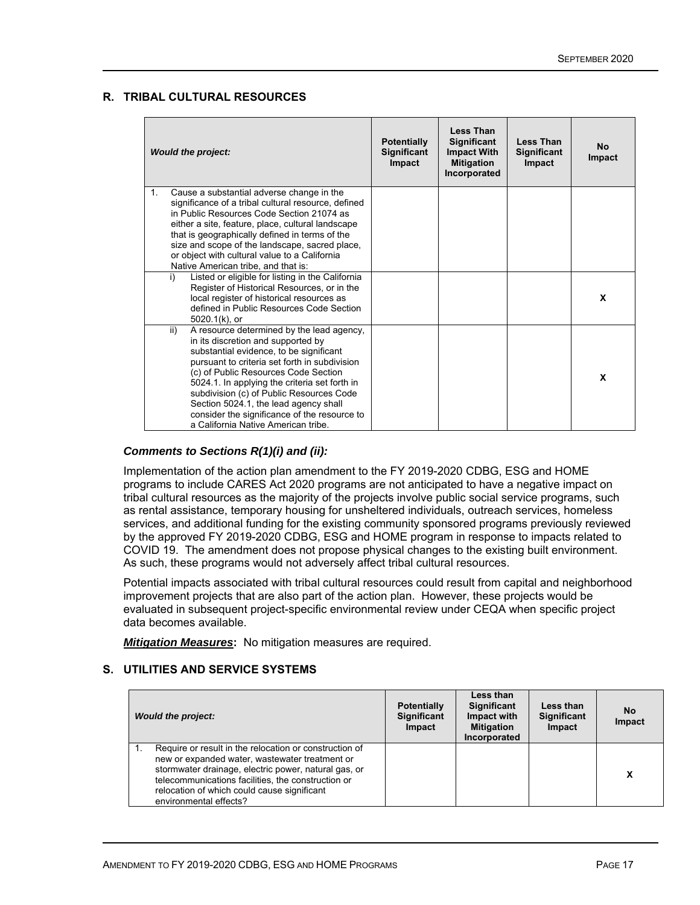#### **R. TRIBAL CULTURAL RESOURCES**

|                | <b>Would the project:</b>                                                                                                                                                                                                                                                                                                                                                                                                                        | <b>Potentially</b><br>Significant<br>Impact | Less Than<br>Significant<br><b>Impact With</b><br><b>Mitigation</b><br>Incorporated | <b>Less Than</b><br><b>Significant</b><br><b>Impact</b> | <b>No</b><br>Impact |
|----------------|--------------------------------------------------------------------------------------------------------------------------------------------------------------------------------------------------------------------------------------------------------------------------------------------------------------------------------------------------------------------------------------------------------------------------------------------------|---------------------------------------------|-------------------------------------------------------------------------------------|---------------------------------------------------------|---------------------|
| $\mathbf{1}$ . | Cause a substantial adverse change in the<br>significance of a tribal cultural resource, defined<br>in Public Resources Code Section 21074 as<br>either a site, feature, place, cultural landscape<br>that is geographically defined in terms of the<br>size and scope of the landscape, sacred place,<br>or object with cultural value to a California<br>Native American tribe, and that is:                                                   |                                             |                                                                                     |                                                         |                     |
| i)             | Listed or eligible for listing in the California<br>Register of Historical Resources, or in the<br>local register of historical resources as<br>defined in Public Resources Code Section<br>$5020.1(k)$ , or                                                                                                                                                                                                                                     |                                             |                                                                                     |                                                         | x                   |
| ii)            | A resource determined by the lead agency,<br>in its discretion and supported by<br>substantial evidence, to be significant<br>pursuant to criteria set forth in subdivision<br>(c) of Public Resources Code Section<br>5024.1. In applying the criteria set forth in<br>subdivision (c) of Public Resources Code<br>Section 5024.1, the lead agency shall<br>consider the significance of the resource to<br>a California Native American tribe. |                                             |                                                                                     |                                                         | X                   |

# *Comments to Sections R(1)(i) and (ii):*

Implementation of the action plan amendment to the FY 2019-2020 CDBG, ESG and HOME programs to include CARES Act 2020 programs are not anticipated to have a negative impact on tribal cultural resources as the majority of the projects involve public social service programs, such as rental assistance, temporary housing for unsheltered individuals, outreach services, homeless services, and additional funding for the existing community sponsored programs previously reviewed by the approved FY 2019-2020 CDBG, ESG and HOME program in response to impacts related to COVID 19. The amendment does not propose physical changes to the existing built environment. As such, these programs would not adversely affect tribal cultural resources.

Potential impacts associated with tribal cultural resources could result from capital and neighborhood improvement projects that are also part of the action plan. However, these projects would be evaluated in subsequent project-specific environmental review under CEQA when specific project data becomes available.

*Mitigation Measures***:** No mitigation measures are required.

#### **S. UTILITIES AND SERVICE SYSTEMS**

| <b>Would the project:</b>                                                                                                                                                                                                                                                                       | <b>Potentially</b><br><b>Significant</b><br>Impact | Less than<br><b>Significant</b><br>Impact with<br><b>Mitigation</b><br>Incorporated | Less than<br><b>Significant</b><br>Impact | <b>No</b><br>Impact |
|-------------------------------------------------------------------------------------------------------------------------------------------------------------------------------------------------------------------------------------------------------------------------------------------------|----------------------------------------------------|-------------------------------------------------------------------------------------|-------------------------------------------|---------------------|
| Require or result in the relocation or construction of<br>new or expanded water, wastewater treatment or<br>stormwater drainage, electric power, natural gas, or<br>telecommunications facilities, the construction or<br>relocation of which could cause significant<br>environmental effects? |                                                    |                                                                                     |                                           | x                   |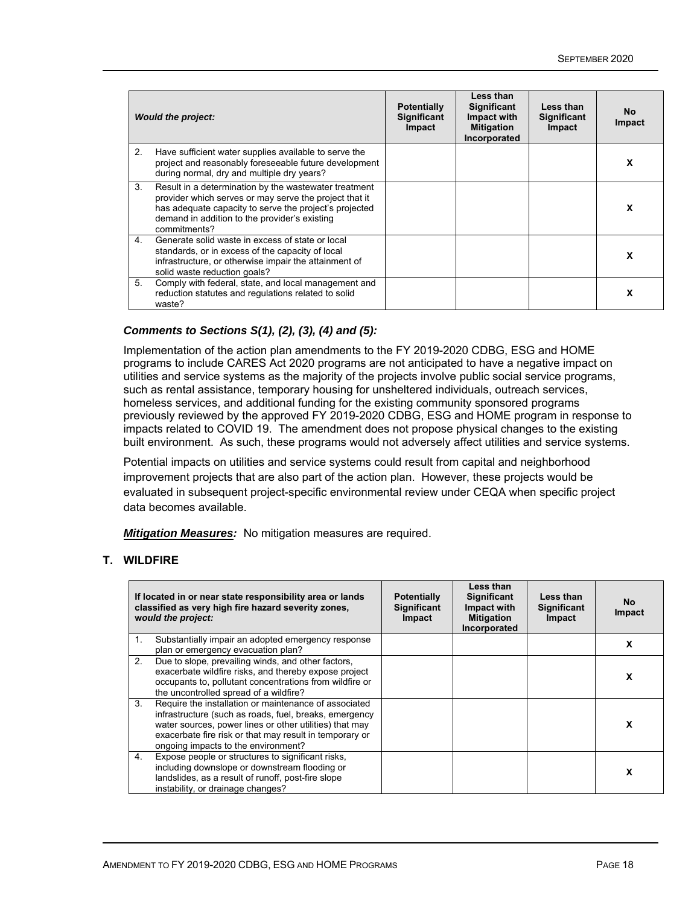|    | <b>Would the project:</b>                                                                                                                                                                                                                  | <b>Potentially</b><br><b>Significant</b><br>Impact | Less than<br><b>Significant</b><br>Impact with<br><b>Mitigation</b><br>Incorporated | Less than<br>Significant<br>Impact | <b>No</b><br>Impact |
|----|--------------------------------------------------------------------------------------------------------------------------------------------------------------------------------------------------------------------------------------------|----------------------------------------------------|-------------------------------------------------------------------------------------|------------------------------------|---------------------|
| 2. | Have sufficient water supplies available to serve the<br>project and reasonably foreseeable future development<br>during normal, dry and multiple dry years?                                                                               |                                                    |                                                                                     |                                    | х                   |
| 3. | Result in a determination by the wastewater treatment<br>provider which serves or may serve the project that it<br>has adequate capacity to serve the project's projected<br>demand in addition to the provider's existing<br>commitments? |                                                    |                                                                                     |                                    | x                   |
| 4. | Generate solid waste in excess of state or local<br>standards, or in excess of the capacity of local<br>infrastructure, or otherwise impair the attainment of<br>solid waste reduction goals?                                              |                                                    |                                                                                     |                                    |                     |
| 5. | Comply with federal, state, and local management and<br>reduction statutes and regulations related to solid<br>waste?                                                                                                                      |                                                    |                                                                                     |                                    | х                   |

# *Comments to Sections S(1), (2), (3), (4) and (5):*

Implementation of the action plan amendments to the FY 2019-2020 CDBG, ESG and HOME programs to include CARES Act 2020 programs are not anticipated to have a negative impact on utilities and service systems as the majority of the projects involve public social service programs, such as rental assistance, temporary housing for unsheltered individuals, outreach services, homeless services, and additional funding for the existing community sponsored programs previously reviewed by the approved FY 2019-2020 CDBG, ESG and HOME program in response to impacts related to COVID 19. The amendment does not propose physical changes to the existing built environment. As such, these programs would not adversely affect utilities and service systems.

Potential impacts on utilities and service systems could result from capital and neighborhood improvement projects that are also part of the action plan. However, these projects would be evaluated in subsequent project-specific environmental review under CEQA when specific project data becomes available.

*Mitigation Measures:* No mitigation measures are required.

# **T. WILDFIRE**

| If located in or near state responsibility area or lands<br>classified as very high fire hazard severity zones,<br>would the project: |                                                                                                                                                                                                                                                                              | <b>Potentially</b><br><b>Significant</b><br>Impact | Less than<br><b>Significant</b><br>Impact with<br><b>Mitigation</b><br>Incorporated | Less than<br><b>Significant</b><br>Impact | <b>No</b><br>Impact |
|---------------------------------------------------------------------------------------------------------------------------------------|------------------------------------------------------------------------------------------------------------------------------------------------------------------------------------------------------------------------------------------------------------------------------|----------------------------------------------------|-------------------------------------------------------------------------------------|-------------------------------------------|---------------------|
| $1_{\cdot}$                                                                                                                           | Substantially impair an adopted emergency response<br>plan or emergency evacuation plan?                                                                                                                                                                                     |                                                    |                                                                                     |                                           | X                   |
| 2.                                                                                                                                    | Due to slope, prevailing winds, and other factors,<br>exacerbate wildfire risks, and thereby expose project<br>occupants to, pollutant concentrations from wildfire or<br>the uncontrolled spread of a wildfire?                                                             |                                                    |                                                                                     |                                           |                     |
| 3 <sub>1</sub>                                                                                                                        | Require the installation or maintenance of associated<br>infrastructure (such as roads, fuel, breaks, emergency<br>water sources, power lines or other utilities) that may<br>exacerbate fire risk or that may result in temporary or<br>ongoing impacts to the environment? |                                                    |                                                                                     |                                           |                     |
| 4.                                                                                                                                    | Expose people or structures to significant risks,<br>including downslope or downstream flooding or<br>landslides, as a result of runoff, post-fire slope<br>instability, or drainage changes?                                                                                |                                                    |                                                                                     |                                           |                     |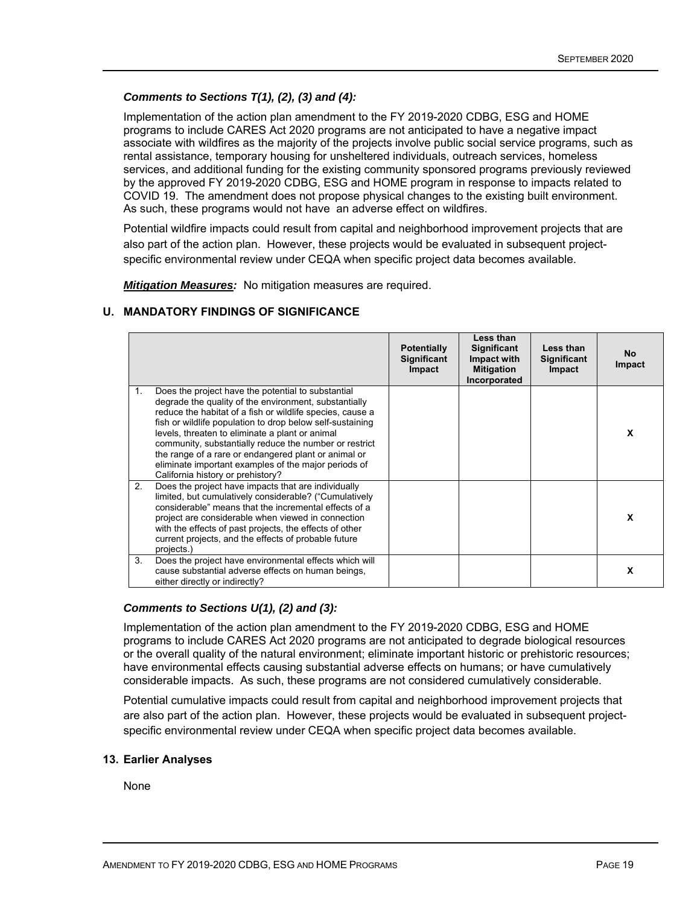### *Comments to Sections T(1), (2), (3) and (4):*

Implementation of the action plan amendment to the FY 2019-2020 CDBG, ESG and HOME programs to include CARES Act 2020 programs are not anticipated to have a negative impact associate with wildfires as the majority of the projects involve public social service programs, such as rental assistance, temporary housing for unsheltered individuals, outreach services, homeless services, and additional funding for the existing community sponsored programs previously reviewed by the approved FY 2019-2020 CDBG, ESG and HOME program in response to impacts related to COVID 19. The amendment does not propose physical changes to the existing built environment. As such, these programs would not have an adverse effect on wildfires.

Potential wildfire impacts could result from capital and neighborhood improvement projects that are also part of the action plan. However, these projects would be evaluated in subsequent projectspecific environmental review under CEQA when specific project data becomes available.

*Mitigation Measures:* No mitigation measures are required.

#### **U. MANDATORY FINDINGS OF SIGNIFICANCE**

|                |                                                                                                                                                                                                                                                                                                                                                                                                                                                                                                         | <b>Potentially</b><br><b>Significant</b><br>Impact | Less than<br><b>Significant</b><br>Impact with<br><b>Mitigation</b><br>Incorporated | Less than<br><b>Significant</b><br>Impact | No.<br>Impact |
|----------------|---------------------------------------------------------------------------------------------------------------------------------------------------------------------------------------------------------------------------------------------------------------------------------------------------------------------------------------------------------------------------------------------------------------------------------------------------------------------------------------------------------|----------------------------------------------------|-------------------------------------------------------------------------------------|-------------------------------------------|---------------|
| $1_{\cdot}$    | Does the project have the potential to substantial<br>degrade the quality of the environment, substantially<br>reduce the habitat of a fish or wildlife species, cause a<br>fish or wildlife population to drop below self-sustaining<br>levels, threaten to eliminate a plant or animal<br>community, substantially reduce the number or restrict<br>the range of a rare or endangered plant or animal or<br>eliminate important examples of the major periods of<br>California history or prehistory? |                                                    |                                                                                     |                                           | X             |
| 2 <sub>1</sub> | Does the project have impacts that are individually<br>limited, but cumulatively considerable? ("Cumulatively<br>considerable" means that the incremental effects of a<br>project are considerable when viewed in connection<br>with the effects of past projects, the effects of other<br>current projects, and the effects of probable future<br>projects.)                                                                                                                                           |                                                    |                                                                                     |                                           | X             |
| 3.             | Does the project have environmental effects which will<br>cause substantial adverse effects on human beings,<br>either directly or indirectly?                                                                                                                                                                                                                                                                                                                                                          |                                                    |                                                                                     |                                           | X             |

#### *Comments to Sections U(1), (2) and (3):*

Implementation of the action plan amendment to the FY 2019-2020 CDBG, ESG and HOME programs to include CARES Act 2020 programs are not anticipated to degrade biological resources or the overall quality of the natural environment; eliminate important historic or prehistoric resources; have environmental effects causing substantial adverse effects on humans; or have cumulatively considerable impacts. As such, these programs are not considered cumulatively considerable.

Potential cumulative impacts could result from capital and neighborhood improvement projects that are also part of the action plan. However, these projects would be evaluated in subsequent projectspecific environmental review under CEQA when specific project data becomes available.

#### **13. Earlier Analyses**

None